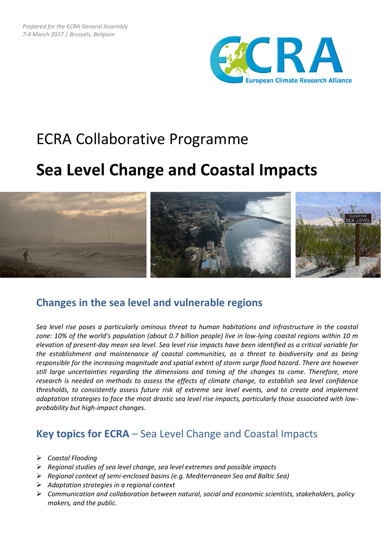

# ECRA Collaborative Programme

## **Sea Level Change and Coastal Impacts**



## **Changes in the sea level and vulnerable regions**

*Sea level rise poses a particularly ominous threat to human habitations and infrastructure in the coastal zone: 10% of the world's population (about 0.7 billion people) live in low-lying coastal regions within 10 m elevation of present-day mean sea level. Sea level rise impacts have been identified as a critical variable for the establishment and maintenance of coastal communities, as a threat to biodiversity and as being responsible for the increasing magnitude and spatial extent of storm surge flood hazard. There are however still large uncertainties regarding the dimensions and timing of the changes to come. Therefore, more research is needed on methods to assess the effects of climate change, to establish sea level confidence thresholds, to consistently assess future risk of extreme sea level events, and to create and implement adaptation strategies to face the most drastic sea level rise impacts, particularly those associated with lowprobability but high-impact changes.*

### **Key topics for ECRA** – Sea Level Change and Coastal Impacts

- *Coastal Flooding*
- *Regional studies of sea level change, sea level extremes and possible impacts*
- *Regional context of semi-enclosed basins (e.g. Mediterranean Sea and Baltic Sea)*
- *Adaptation strategies in a regional context*
- *Communication and collaboration between natural, social and economic scientists, stakeholders, policy makers, and the public.*